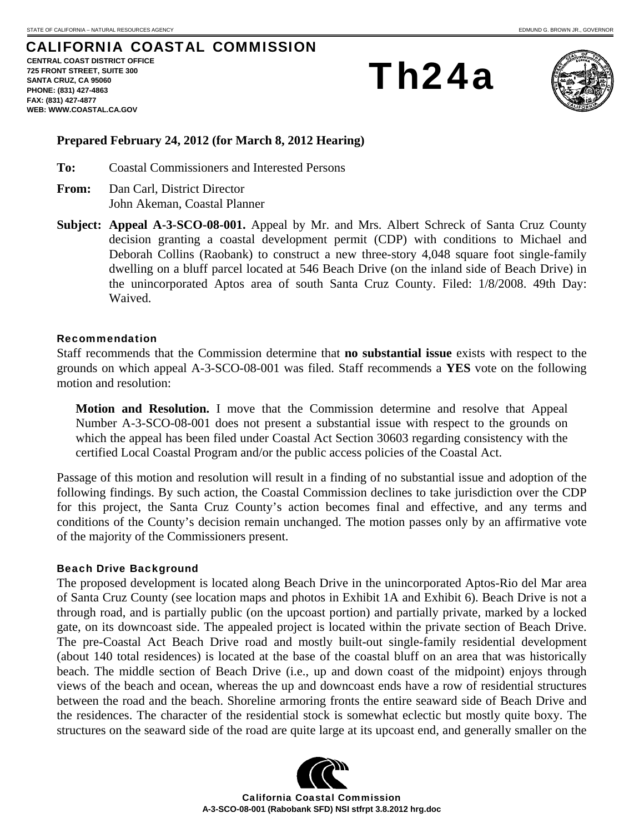# CALIFORNIA COASTAL COMMISSION

**CENTRAL COAST DISTRICT OFFICE 725 FRONT STREET, SUITE 300 SANTA CRUZ, CA 95060 PHONE: (831) 427-4863 FAX: (831) 427-4877 WEB: WWW.COASTAL.CA.GOV**

Th24a



## **Prepared February 24, 2012 (for March 8, 2012 Hearing)**

**To:** Coastal Commissioners and Interested Persons

- **From:** Dan Carl, District Director John Akeman, Coastal Planner
- **Subject: Appeal A-3-SCO-08-001.** Appeal by Mr. and Mrs. Albert Schreck of Santa Cruz County decision granting a coastal development permit (CDP) with conditions to Michael and Deborah Collins (Raobank) to construct a new three-story 4,048 square foot single-family dwelling on a bluff parcel located at 546 Beach Drive (on the inland side of Beach Drive) in the unincorporated Aptos area of south Santa Cruz County. Filed: 1/8/2008. 49th Day: Waived.

#### Recommendation

Staff recommends that the Commission determine that **no substantial issue** exists with respect to the grounds on which appeal A-3-SCO-08-001 was filed. Staff recommends a **YES** vote on the following motion and resolution:

**Motion and Resolution.** I move that the Commission determine and resolve that Appeal Number A-3-SCO-08-001 does not present a substantial issue with respect to the grounds on which the appeal has been filed under Coastal Act Section 30603 regarding consistency with the certified Local Coastal Program and/or the public access policies of the Coastal Act.

Passage of this motion and resolution will result in a finding of no substantial issue and adoption of the following findings. By such action, the Coastal Commission declines to take jurisdiction over the CDP for this project, the Santa Cruz County's action becomes final and effective, and any terms and conditions of the County's decision remain unchanged. The motion passes only by an affirmative vote of the majority of the Commissioners present.

#### Beach Drive Background

The proposed development is located along Beach Drive in the unincorporated Aptos-Rio del Mar area of Santa Cruz County (see location maps and photos in Exhibit 1A and Exhibit 6). Beach Drive is not a through road, and is partially public (on the upcoast portion) and partially private, marked by a locked gate, on its downcoast side. The appealed project is located within the private section of Beach Drive. The pre-Coastal Act Beach Drive road and mostly built-out single-family residential development (about 140 total residences) is located at the base of the coastal bluff on an area that was historically beach. The middle section of Beach Drive (i.e., up and down coast of the midpoint) enjoys through views of the beach and ocean, whereas the up and downcoast ends have a row of residential structures between the road and the beach. Shoreline armoring fronts the entire seaward side of Beach Drive and the residences. The character of the residential stock is somewhat eclectic but mostly quite boxy. The structures on the seaward side of the road are quite large at its upcoast end, and generally smaller on the



California Coastal Commission **A-3-SCO-08-001 (Rabobank SFD) NSI stfrpt 3.8.2012 hrg.doc**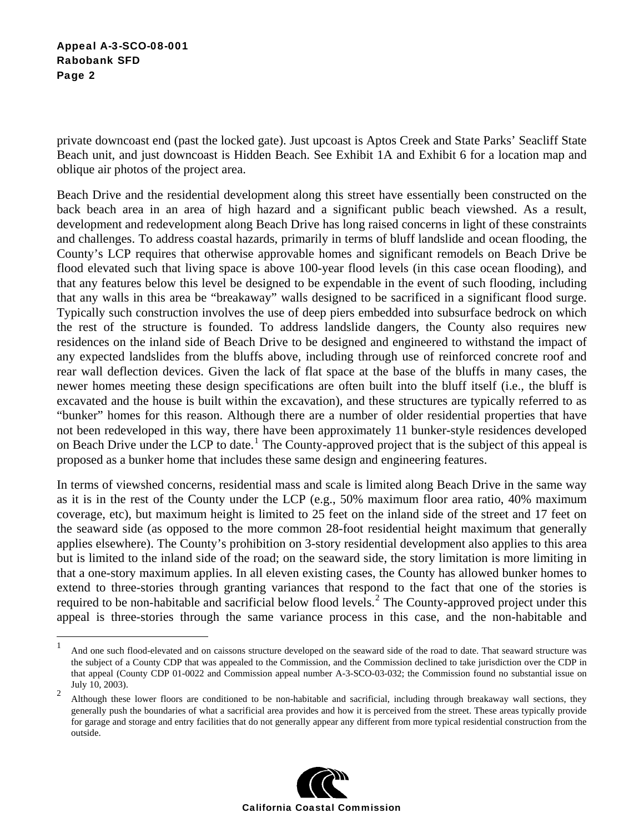$\overline{a}$ 

private downcoast end (past the locked gate). Just upcoast is Aptos Creek and State Parks' Seacliff State Beach unit, and just downcoast is Hidden Beach. See Exhibit 1A and Exhibit 6 for a location map and oblique air photos of the project area.

Beach Drive and the residential development along this street have essentially been constructed on the back beach area in an area of high hazard and a significant public beach viewshed. As a result, development and redevelopment along Beach Drive has long raised concerns in light of these constraints and challenges. To address coastal hazards, primarily in terms of bluff landslide and ocean flooding, the County's LCP requires that otherwise approvable homes and significant remodels on Beach Drive be flood elevated such that living space is above 100-year flood levels (in this case ocean flooding), and that any features below this level be designed to be expendable in the event of such flooding, including that any walls in this area be "breakaway" walls designed to be sacrificed in a significant flood surge. Typically such construction involves the use of deep piers embedded into subsurface bedrock on which the rest of the structure is founded. To address landslide dangers, the County also requires new residences on the inland side of Beach Drive to be designed and engineered to withstand the impact of any expected landslides from the bluffs above, including through use of reinforced concrete roof and rear wall deflection devices. Given the lack of flat space at the base of the bluffs in many cases, the newer homes meeting these design specifications are often built into the bluff itself (i.e., the bluff is excavated and the house is built within the excavation), and these structures are typically referred to as "bunker" homes for this reason. Although there are a number of older residential properties that have not been redeveloped in this way, there have been approximately 11 bunker-style residences developed on Beach Drive under the LCP to date.<sup>1</sup> The County-approved project that is the subject of this appeal is proposed as a bunker home that includes these same design and engineering features.

In terms of viewshed concerns, residential mass and scale is limited along Beach Drive in the same way as it is in the rest of the County under the LCP (e.g., 50% maximum floor area ratio, 40% maximum coverage, etc), but maximum height is limited to 25 feet on the inland side of the street and 17 feet on the seaward side (as opposed to the more common 28-foot residential height maximum that generally applies elsewhere). The County's prohibition on 3-story residential development also applies to this area but is limited to the inland side of the road; on the seaward side, the story limitation is more limiting in that a one-story maximum applies. In all eleven existing cases, the County has allowed bunker homes to extend to three-stories through granting variances that respond to the fact that one of the stories is required to be non-habitable and sacrificial below flood levels.<sup>2</sup> The County-approved project under this appeal is three-stories through the same variance process in this case, and the non-habitable and

<sup>2</sup> Although these lower floors are conditioned to be non-habitable and sacrificial, including through breakaway wall sections, they generally push the boundaries of what a sacrificial area provides and how it is perceived from the street. These areas typically provide for garage and storage and entry facilities that do not generally appear any different from more typical residential construction from the outside.



<sup>1</sup> And one such flood-elevated and on caissons structure developed on the seaward side of the road to date. That seaward structure was the subject of a County CDP that was appealed to the Commission, and the Commission declined to take jurisdiction over the CDP in that appeal (County CDP 01-0022 and Commission appeal number A-3-SCO-03-032; the Commission found no substantial issue on July 10, 2003).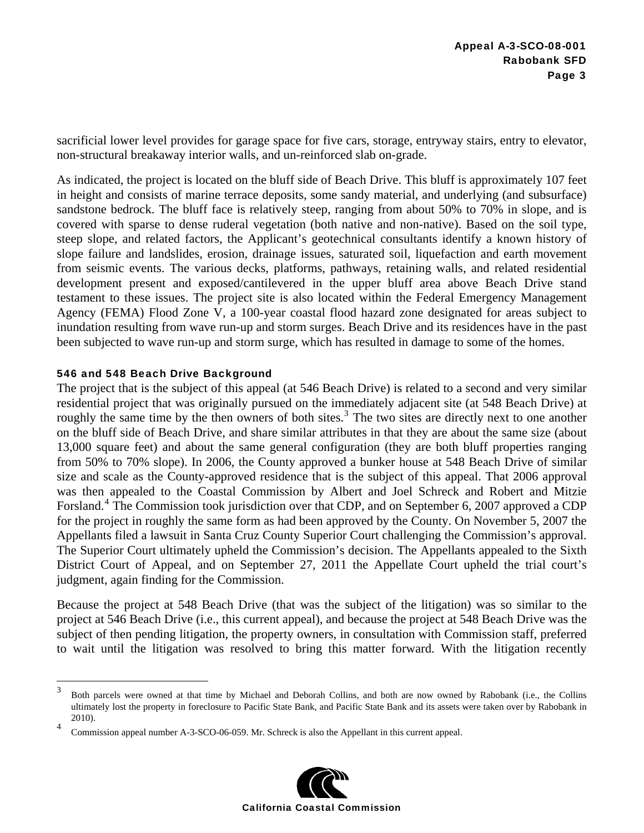sacrificial lower level provides for garage space for five cars, storage, entryway stairs, entry to elevator, non-structural breakaway interior walls, and un-reinforced slab on-grade.

As indicated, the project is located on the bluff side of Beach Drive. This bluff is approximately 107 feet in height and consists of marine terrace deposits, some sandy material, and underlying (and subsurface) sandstone bedrock. The bluff face is relatively steep, ranging from about 50% to 70% in slope, and is covered with sparse to dense ruderal vegetation (both native and non-native). Based on the soil type, steep slope, and related factors, the Applicant's geotechnical consultants identify a known history of slope failure and landslides, erosion, drainage issues, saturated soil, liquefaction and earth movement from seismic events. The various decks, platforms, pathways, retaining walls, and related residential development present and exposed/cantilevered in the upper bluff area above Beach Drive stand testament to these issues. The project site is also located within the Federal Emergency Management Agency (FEMA) Flood Zone V, a 100-year coastal flood hazard zone designated for areas subject to inundation resulting from wave run-up and storm surges. Beach Drive and its residences have in the past been subjected to wave run-up and storm surge, which has resulted in damage to some of the homes.

# 546 and 548 Beach Drive Background

The project that is the subject of this appeal (at 546 Beach Drive) is related to a second and very similar residential project that was originally pursued on the immediately adjacent site (at 548 Beach Drive) at roughly the same time by the then owners of both sites.<sup>3</sup> The two sites are directly next to one another on the bluff side of Beach Drive, and share similar attributes in that they are about the same size (about 13,000 square feet) and about the same general configuration (they are both bluff properties ranging from 50% to 70% slope). In 2006, the County approved a bunker house at 548 Beach Drive of similar size and scale as the County-approved residence that is the subject of this appeal. That 2006 approval was then appealed to the Coastal Commission by Albert and Joel Schreck and Robert and Mitzie Forsland.<sup>4</sup> The Commission took jurisdiction over that CDP, and on September 6, 2007 approved a CDP for the project in roughly the same form as had been approved by the County. On November 5, 2007 the Appellants filed a lawsuit in Santa Cruz County Superior Court challenging the Commission's approval. The Superior Court ultimately upheld the Commission's decision. The Appellants appealed to the Sixth District Court of Appeal, and on September 27, 2011 the Appellate Court upheld the trial court's judgment, again finding for the Commission.

Because the project at 548 Beach Drive (that was the subject of the litigation) was so similar to the project at 546 Beach Drive (i.e., this current appeal), and because the project at 548 Beach Drive was the subject of then pending litigation, the property owners, in consultation with Commission staff, preferred to wait until the litigation was resolved to bring this matter forward. With the litigation recently

<sup>4</sup> Commission appeal number A-3-SCO-06-059. Mr. Schreck is also the Appellant in this current appeal.



 $\frac{1}{3}$  Both parcels were owned at that time by Michael and Deborah Collins, and both are now owned by Rabobank (i.e., the Collins ultimately lost the property in foreclosure to Pacific State Bank, and Pacific State Bank and its assets were taken over by Rabobank in 2010).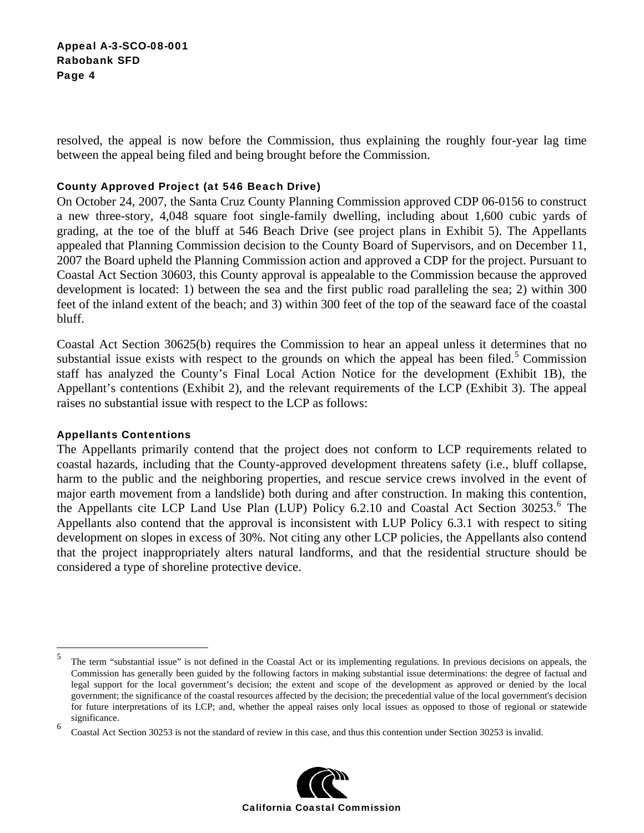resolved, the appeal is now before the Commission, thus explaining the roughly four-year lag time between the appeal being filed and being brought before the Commission.

# County Approved Project (at 546 Beach Drive)

On October 24, 2007, the Santa Cruz County Planning Commission approved CDP 06-0156 to construct a new three-story, 4,048 square foot single-family dwelling, including about 1,600 cubic yards of grading, at the toe of the bluff at 546 Beach Drive (see project plans in Exhibit 5). The Appellants appealed that Planning Commission decision to the County Board of Supervisors, and on December 11, 2007 the Board upheld the Planning Commission action and approved a CDP for the project. Pursuant to Coastal Act Section 30603, this County approval is appealable to the Commission because the approved development is located: 1) between the sea and the first public road paralleling the sea; 2) within 300 feet of the inland extent of the beach; and 3) within 300 feet of the top of the seaward face of the coastal bluff.

Coastal Act Section 30625(b) requires the Commission to hear an appeal unless it determines that no substantial issue exists with respect to the grounds on which the appeal has been filed.<sup>5</sup> Commission staff has analyzed the County's Final Local Action Notice for the development (Exhibit 1B), the Appellant's contentions (Exhibit 2), and the relevant requirements of the LCP (Exhibit 3). The appeal raises no substantial issue with respect to the LCP as follows:

### Appellants Contentions

1

The Appellants primarily contend that the project does not conform to LCP requirements related to coastal hazards, including that the County-approved development threatens safety (i.e., bluff collapse, harm to the public and the neighboring properties, and rescue service crews involved in the event of major earth movement from a landslide) both during and after construction. In making this contention, the Appellants cite LCP Land Use Plan (LUP) Policy 6.2.10 and Coastal Act Section 30253.<sup>6</sup> The Appellants also contend that the approval is inconsistent with LUP Policy 6.3.1 with respect to siting development on slopes in excess of 30%. Not citing any other LCP policies, the Appellants also contend that the project inappropriately alters natural landforms, and that the residential structure should be considered a type of shoreline protective device.

<sup>6</sup> Coastal Act Section 30253 is not the standard of review in this case, and thus this contention under Section 30253 is invalid.



<sup>5</sup> The term "substantial issue" is not defined in the Coastal Act or its implementing regulations. In previous decisions on appeals, the Commission has generally been guided by the following factors in making substantial issue determinations: the degree of factual and legal support for the local government's decision; the extent and scope of the development as approved or denied by the local government; the significance of the coastal resources affected by the decision; the precedential value of the local government's decision for future interpretations of its LCP; and, whether the appeal raises only local issues as opposed to those of regional or statewide significance.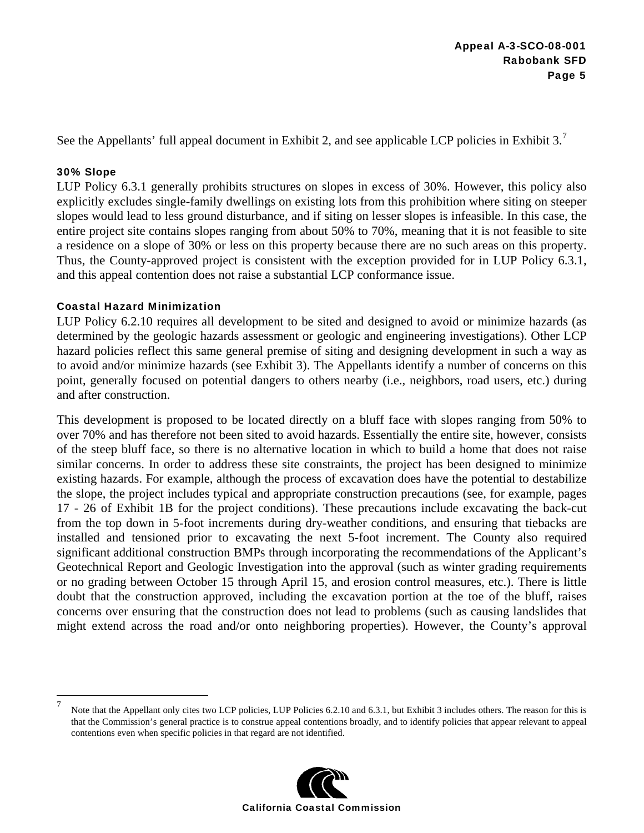See the Appellants' full appeal document in Exhibit 2, and see applicable LCP policies in Exhibit 3.<sup>7</sup>

## 30% Slope

LUP Policy 6.3.1 generally prohibits structures on slopes in excess of 30%. However, this policy also explicitly excludes single-family dwellings on existing lots from this prohibition where siting on steeper slopes would lead to less ground disturbance, and if siting on lesser slopes is infeasible. In this case, the entire project site contains slopes ranging from about 50% to 70%, meaning that it is not feasible to site a residence on a slope of 30% or less on this property because there are no such areas on this property. Thus, the County-approved project is consistent with the exception provided for in LUP Policy 6.3.1, and this appeal contention does not raise a substantial LCP conformance issue.

# Coastal Hazard Minimization

LUP Policy 6.2.10 requires all development to be sited and designed to avoid or minimize hazards (as determined by the geologic hazards assessment or geologic and engineering investigations). Other LCP hazard policies reflect this same general premise of siting and designing development in such a way as to avoid and/or minimize hazards (see Exhibit 3). The Appellants identify a number of concerns on this point, generally focused on potential dangers to others nearby (i.e., neighbors, road users, etc.) during and after construction.

This development is proposed to be located directly on a bluff face with slopes ranging from 50% to over 70% and has therefore not been sited to avoid hazards. Essentially the entire site, however, consists of the steep bluff face, so there is no alternative location in which to build a home that does not raise similar concerns. In order to address these site constraints, the project has been designed to minimize existing hazards. For example, although the process of excavation does have the potential to destabilize the slope, the project includes typical and appropriate construction precautions (see, for example, pages 17 - 26 of Exhibit 1B for the project conditions). These precautions include excavating the back-cut from the top down in 5-foot increments during dry-weather conditions, and ensuring that tiebacks are installed and tensioned prior to excavating the next 5-foot increment. The County also required significant additional construction BMPs through incorporating the recommendations of the Applicant's Geotechnical Report and Geologic Investigation into the approval (such as winter grading requirements or no grading between October 15 through April 15, and erosion control measures, etc.). There is little doubt that the construction approved, including the excavation portion at the toe of the bluff, raises concerns over ensuring that the construction does not lead to problems (such as causing landslides that might extend across the road and/or onto neighboring properties). However, the County's approval

<sup>—&</sup>lt;br>7 Note that the Appellant only cites two LCP policies, LUP Policies 6.2.10 and 6.3.1, but Exhibit 3 includes others. The reason for this is that the Commission's general practice is to construe appeal contentions broadly, and to identify policies that appear relevant to appeal contentions even when specific policies in that regard are not identified.

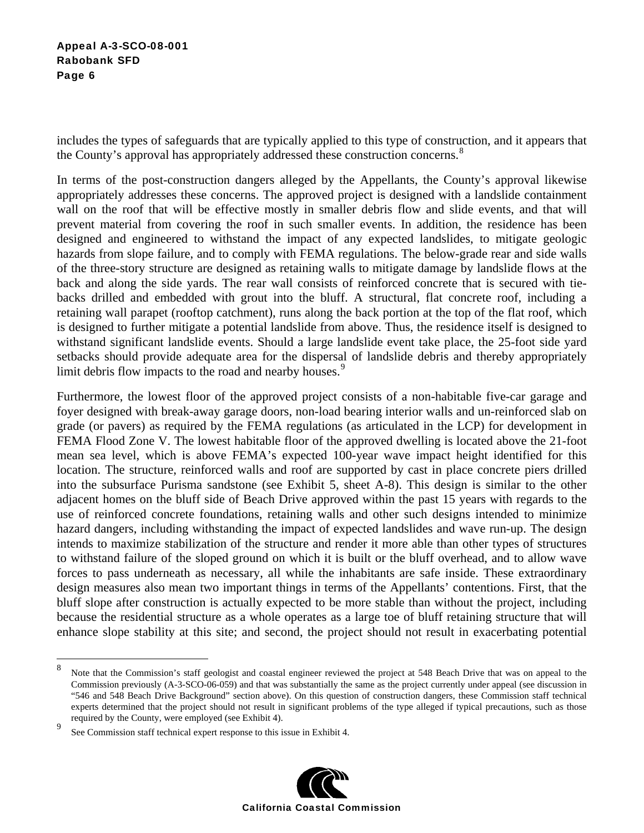includes the types of safeguards that are typically applied to this type of construction, and it appears that the County's approval has appropriately addressed these construction concerns.<sup>8</sup>

In terms of the post-construction dangers alleged by the Appellants, the County's approval likewise appropriately addresses these concerns. The approved project is designed with a landslide containment wall on the roof that will be effective mostly in smaller debris flow and slide events, and that will prevent material from covering the roof in such smaller events. In addition, the residence has been designed and engineered to withstand the impact of any expected landslides, to mitigate geologic hazards from slope failure, and to comply with FEMA regulations. The below-grade rear and side walls of the three-story structure are designed as retaining walls to mitigate damage by landslide flows at the back and along the side yards. The rear wall consists of reinforced concrete that is secured with tiebacks drilled and embedded with grout into the bluff. A structural, flat concrete roof, including a retaining wall parapet (rooftop catchment), runs along the back portion at the top of the flat roof, which is designed to further mitigate a potential landslide from above. Thus, the residence itself is designed to withstand significant landslide events. Should a large landslide event take place, the 25-foot side yard setbacks should provide adequate area for the dispersal of landslide debris and thereby appropriately limit debris flow impacts to the road and nearby houses.<sup>9</sup>

Furthermore, the lowest floor of the approved project consists of a non-habitable five-car garage and foyer designed with break-away garage doors, non-load bearing interior walls and un-reinforced slab on grade (or pavers) as required by the FEMA regulations (as articulated in the LCP) for development in FEMA Flood Zone V. The lowest habitable floor of the approved dwelling is located above the 21-foot mean sea level, which is above FEMA's expected 100-year wave impact height identified for this location. The structure, reinforced walls and roof are supported by cast in place concrete piers drilled into the subsurface Purisma sandstone (see Exhibit 5, sheet A-8). This design is similar to the other adjacent homes on the bluff side of Beach Drive approved within the past 15 years with regards to the use of reinforced concrete foundations, retaining walls and other such designs intended to minimize hazard dangers, including withstanding the impact of expected landslides and wave run-up. The design intends to maximize stabilization of the structure and render it more able than other types of structures to withstand failure of the sloped ground on which it is built or the bluff overhead, and to allow wave forces to pass underneath as necessary, all while the inhabitants are safe inside. These extraordinary design measures also mean two important things in terms of the Appellants' contentions. First, that the bluff slope after construction is actually expected to be more stable than without the project, including because the residential structure as a whole operates as a large toe of bluff retaining structure that will enhance slope stability at this site; and second, the project should not result in exacerbating potential

1



<sup>8</sup> Note that the Commission's staff geologist and coastal engineer reviewed the project at 548 Beach Drive that was on appeal to the Commission previously (A-3-SCO-06-059) and that was substantially the same as the project currently under appeal (see discussion in "546 and 548 Beach Drive Background" section above). On this question of construction dangers, these Commission staff technical experts determined that the project should not result in significant problems of the type alleged if typical precautions, such as those required by the County, were employed (see Exhibit 4).

<sup>9</sup> See Commission staff technical expert response to this issue in Exhibit 4.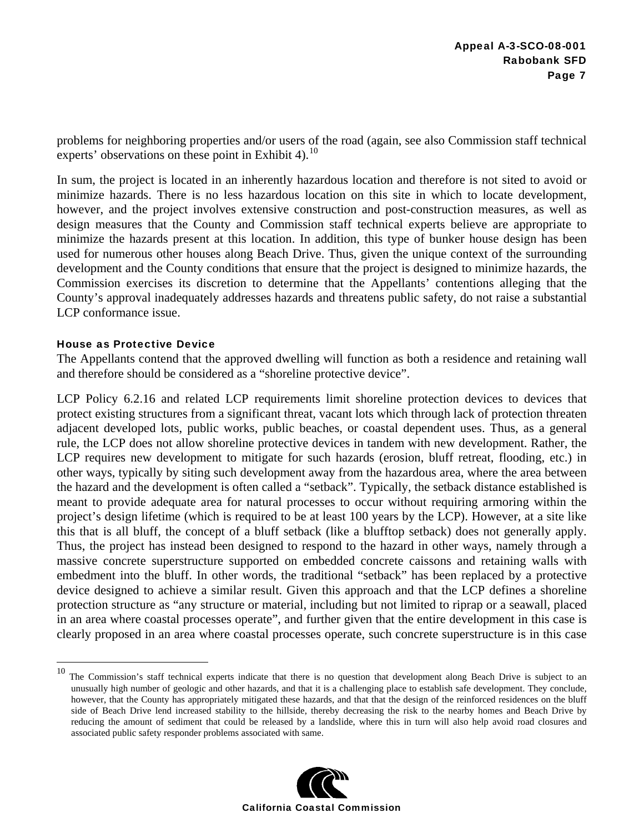problems for neighboring properties and/or users of the road (again, see also Commission staff technical experts' observations on these point in Exhibit 4).<sup>10</sup>

In sum, the project is located in an inherently hazardous location and therefore is not sited to avoid or minimize hazards. There is no less hazardous location on this site in which to locate development, however, and the project involves extensive construction and post-construction measures, as well as design measures that the County and Commission staff technical experts believe are appropriate to minimize the hazards present at this location. In addition, this type of bunker house design has been used for numerous other houses along Beach Drive. Thus, given the unique context of the surrounding development and the County conditions that ensure that the project is designed to minimize hazards, the Commission exercises its discretion to determine that the Appellants' contentions alleging that the County's approval inadequately addresses hazards and threatens public safety, do not raise a substantial LCP conformance issue.

### House as Protective Device

 $\overline{a}$ 

The Appellants contend that the approved dwelling will function as both a residence and retaining wall and therefore should be considered as a "shoreline protective device".

LCP Policy 6.2.16 and related LCP requirements limit shoreline protection devices to devices that protect existing structures from a significant threat, vacant lots which through lack of protection threaten adjacent developed lots, public works, public beaches, or coastal dependent uses. Thus, as a general rule, the LCP does not allow shoreline protective devices in tandem with new development. Rather, the LCP requires new development to mitigate for such hazards (erosion, bluff retreat, flooding, etc.) in other ways, typically by siting such development away from the hazardous area, where the area between the hazard and the development is often called a "setback". Typically, the setback distance established is meant to provide adequate area for natural processes to occur without requiring armoring within the project's design lifetime (which is required to be at least 100 years by the LCP). However, at a site like this that is all bluff, the concept of a bluff setback (like a blufftop setback) does not generally apply. Thus, the project has instead been designed to respond to the hazard in other ways, namely through a massive concrete superstructure supported on embedded concrete caissons and retaining walls with embedment into the bluff. In other words, the traditional "setback" has been replaced by a protective device designed to achieve a similar result. Given this approach and that the LCP defines a shoreline protection structure as "any structure or material, including but not limited to riprap or a seawall, placed in an area where coastal processes operate", and further given that the entire development in this case is clearly proposed in an area where coastal processes operate, such concrete superstructure is in this case

 $10$  The Commission's staff technical experts indicate that there is no question that development along Beach Drive is subject to an unusually high number of geologic and other hazards, and that it is a challenging place to establish safe development. They conclude, however, that the County has appropriately mitigated these hazards, and that that the design of the reinforced residences on the bluff side of Beach Drive lend increased stability to the hillside, thereby decreasing the risk to the nearby homes and Beach Drive by reducing the amount of sediment that could be released by a landslide, where this in turn will also help avoid road closures and associated public safety responder problems associated with same.

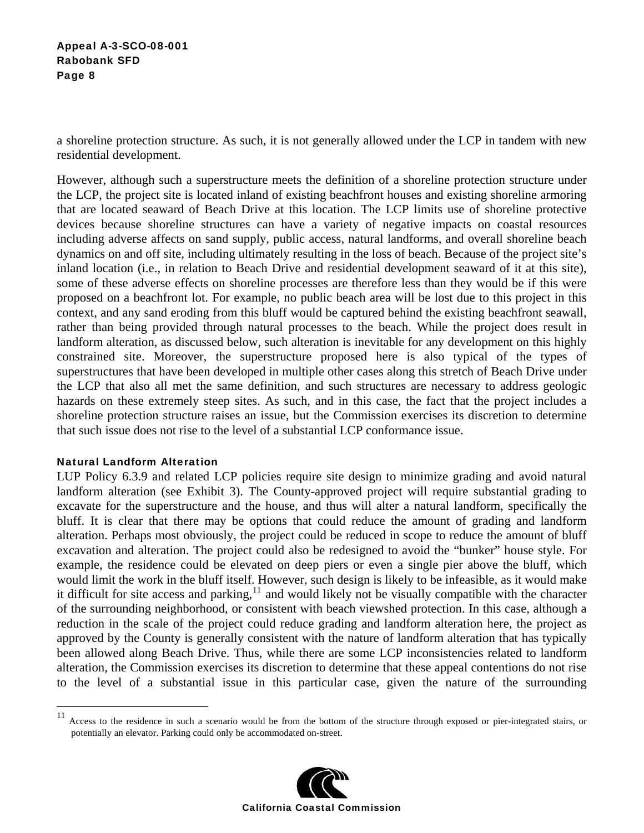a shoreline protection structure. As such, it is not generally allowed under the LCP in tandem with new residential development.

However, although such a superstructure meets the definition of a shoreline protection structure under the LCP, the project site is located inland of existing beachfront houses and existing shoreline armoring that are located seaward of Beach Drive at this location. The LCP limits use of shoreline protective devices because shoreline structures can have a variety of negative impacts on coastal resources including adverse affects on sand supply, public access, natural landforms, and overall shoreline beach dynamics on and off site, including ultimately resulting in the loss of beach. Because of the project site's inland location (i.e., in relation to Beach Drive and residential development seaward of it at this site), some of these adverse effects on shoreline processes are therefore less than they would be if this were proposed on a beachfront lot. For example, no public beach area will be lost due to this project in this context, and any sand eroding from this bluff would be captured behind the existing beachfront seawall, rather than being provided through natural processes to the beach. While the project does result in landform alteration, as discussed below, such alteration is inevitable for any development on this highly constrained site. Moreover, the superstructure proposed here is also typical of the types of superstructures that have been developed in multiple other cases along this stretch of Beach Drive under the LCP that also all met the same definition, and such structures are necessary to address geologic hazards on these extremely steep sites. As such, and in this case, the fact that the project includes a shoreline protection structure raises an issue, but the Commission exercises its discretion to determine that such issue does not rise to the level of a substantial LCP conformance issue.

### Natural Landform Alteration

LUP Policy 6.3.9 and related LCP policies require site design to minimize grading and avoid natural landform alteration (see Exhibit 3). The County-approved project will require substantial grading to excavate for the superstructure and the house, and thus will alter a natural landform, specifically the bluff. It is clear that there may be options that could reduce the amount of grading and landform alteration. Perhaps most obviously, the project could be reduced in scope to reduce the amount of bluff excavation and alteration. The project could also be redesigned to avoid the "bunker" house style. For example, the residence could be elevated on deep piers or even a single pier above the bluff, which would limit the work in the bluff itself. However, such design is likely to be infeasible, as it would make it difficult for site access and parking, $11$  and would likely not be visually compatible with the character of the surrounding neighborhood, or consistent with beach viewshed protection. In this case, although a reduction in the scale of the project could reduce grading and landform alteration here, the project as approved by the County is generally consistent with the nature of landform alteration that has typically been allowed along Beach Drive. Thus, while there are some LCP inconsistencies related to landform alteration, the Commission exercises its discretion to determine that these appeal contentions do not rise to the level of a substantial issue in this particular case, given the nature of the surrounding

<sup>11</sup> Access to the residence in such a scenario would be from the bottom of the structure through exposed or pier-integrated stairs, or potentially an elevator. Parking could only be accommodated on-street.

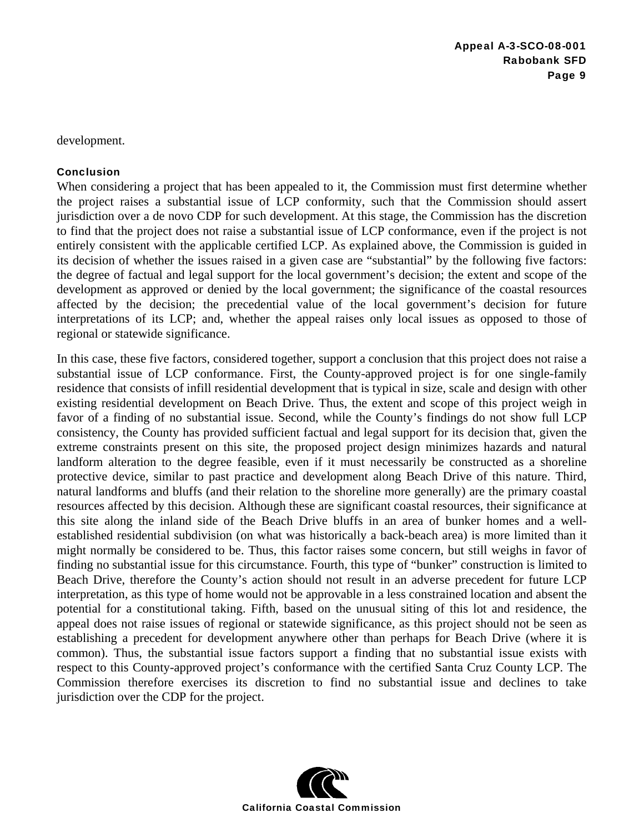development.

#### Conclusion

When considering a project that has been appealed to it, the Commission must first determine whether the project raises a substantial issue of LCP conformity, such that the Commission should assert jurisdiction over a de novo CDP for such development. At this stage, the Commission has the discretion to find that the project does not raise a substantial issue of LCP conformance, even if the project is not entirely consistent with the applicable certified LCP. As explained above, the Commission is guided in its decision of whether the issues raised in a given case are "substantial" by the following five factors: the degree of factual and legal support for the local government's decision; the extent and scope of the development as approved or denied by the local government; the significance of the coastal resources affected by the decision; the precedential value of the local government's decision for future interpretations of its LCP; and, whether the appeal raises only local issues as opposed to those of regional or statewide significance.

In this case, these five factors, considered together, support a conclusion that this project does not raise a substantial issue of LCP conformance. First, the County-approved project is for one single-family residence that consists of infill residential development that is typical in size, scale and design with other existing residential development on Beach Drive. Thus, the extent and scope of this project weigh in favor of a finding of no substantial issue. Second, while the County's findings do not show full LCP consistency, the County has provided sufficient factual and legal support for its decision that, given the extreme constraints present on this site, the proposed project design minimizes hazards and natural landform alteration to the degree feasible, even if it must necessarily be constructed as a shoreline protective device, similar to past practice and development along Beach Drive of this nature. Third, natural landforms and bluffs (and their relation to the shoreline more generally) are the primary coastal resources affected by this decision. Although these are significant coastal resources, their significance at this site along the inland side of the Beach Drive bluffs in an area of bunker homes and a wellestablished residential subdivision (on what was historically a back-beach area) is more limited than it might normally be considered to be. Thus, this factor raises some concern, but still weighs in favor of finding no substantial issue for this circumstance. Fourth, this type of "bunker" construction is limited to Beach Drive, therefore the County's action should not result in an adverse precedent for future LCP interpretation, as this type of home would not be approvable in a less constrained location and absent the potential for a constitutional taking. Fifth, based on the unusual siting of this lot and residence, the appeal does not raise issues of regional or statewide significance, as this project should not be seen as establishing a precedent for development anywhere other than perhaps for Beach Drive (where it is common). Thus, the substantial issue factors support a finding that no substantial issue exists with respect to this County-approved project's conformance with the certified Santa Cruz County LCP. The Commission therefore exercises its discretion to find no substantial issue and declines to take jurisdiction over the CDP for the project.